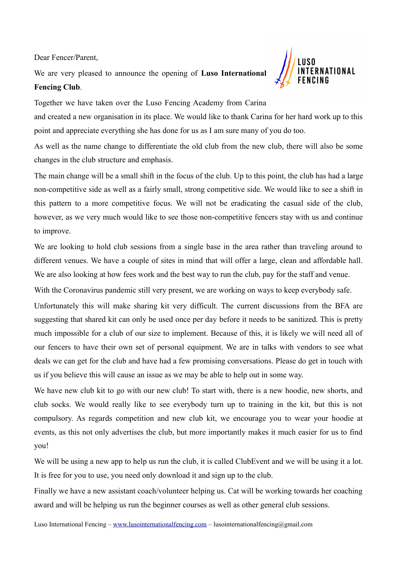Dear Fencer/Parent,

We are very pleased to announce the opening of **Luso International Fencing Club**.



Together we have taken over the Luso Fencing Academy from Carina and created a new organisation in its place. We would like to thank Carina for her hard work up to this point and appreciate everything she has done for us as I am sure many of you do too.

As well as the name change to differentiate the old club from the new club, there will also be some changes in the club structure and emphasis.

The main change will be a small shift in the focus of the club. Up to this point, the club has had a large non-competitive side as well as a fairly small, strong competitive side. We would like to see a shift in this pattern to a more competitive focus. We will not be eradicating the casual side of the club, however, as we very much would like to see those non-competitive fencers stay with us and continue to improve.

We are looking to hold club sessions from a single base in the area rather than traveling around to different venues. We have a couple of sites in mind that will offer a large, clean and affordable hall. We are also looking at how fees work and the best way to run the club, pay for the staff and venue.

With the Coronavirus pandemic still very present, we are working on ways to keep everybody safe.

Unfortunately this will make sharing kit very difficult. The current discussions from the BFA are suggesting that shared kit can only be used once per day before it needs to be sanitized. This is pretty much impossible for a club of our size to implement. Because of this, it is likely we will need all of our fencers to have their own set of personal equipment. We are in talks with vendors to see what deals we can get for the club and have had a few promising conversations. Please do get in touch with us if you believe this will cause an issue as we may be able to help out in some way.

We have new club kit to go with our new club! To start with, there is a new hoodie, new shorts, and club socks. We would really like to see everybody turn up to training in the kit, but this is not compulsory. As regards competition and new club kit, we encourage you to wear your hoodie at events, as this not only advertises the club, but more importantly makes it much easier for us to find you!

We will be using a new app to help us run the club, it is called ClubEvent and we will be using it a lot. It is free for you to use, you need only download it and sign up to the club.

Finally we have a new assistant coach/volunteer helping us. Cat will be working towards her coaching award and will be helping us run the beginner courses as well as other general club sessions.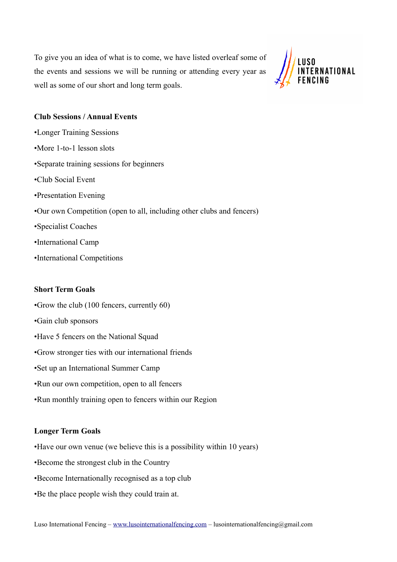To give you an idea of what is to come, we have listed overleaf some of the events and sessions we will be running or attending every year as well as some of our short and long term goals.



## **Club Sessions / Annual Events**

- •Longer Training Sessions
- •More 1-to-1 lesson slots
- •Separate training sessions for beginners
- •Club Social Event
- •Presentation Evening
- •Our own Competition (open to all, including other clubs and fencers)
- •Specialist Coaches
- •International Camp
- •International Competitions

## **Short Term Goals**

- •Grow the club (100 fencers, currently 60)
- •Gain club sponsors
- •Have 5 fencers on the National Squad
- •Grow stronger ties with our international friends
- •Set up an International Summer Camp
- •Run our own competition, open to all fencers
- •Run monthly training open to fencers within our Region

## **Longer Term Goals**

- •Have our own venue (we believe this is a possibility within 10 years)
- •Become the strongest club in the Country
- •Become Internationally recognised as a top club
- •Be the place people wish they could train at.